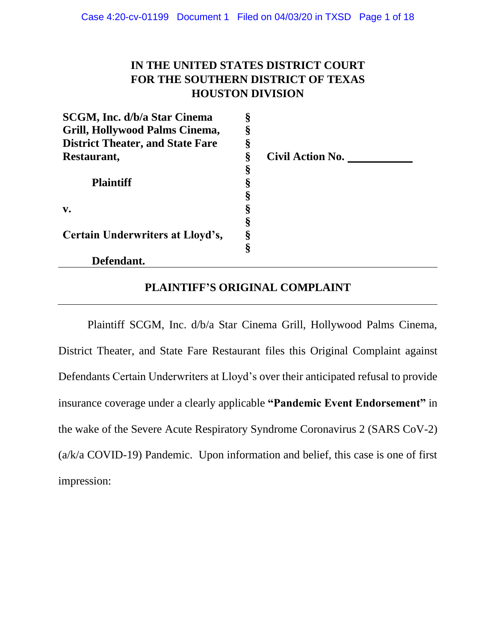# **IN THE UNITED STATES DISTRICT COURT FOR THE SOUTHERN DISTRICT OF TEXAS HOUSTON DIVISION**

| SCGM, Inc. d/b/a Star Cinema            | § |                         |
|-----------------------------------------|---|-------------------------|
| Grill, Hollywood Palms Cinema,          | ş |                         |
| <b>District Theater, and State Fare</b> | § |                         |
| Restaurant,                             | § | <b>Civil Action No.</b> |
|                                         | § |                         |
| <b>Plaintiff</b>                        |   |                         |
|                                         |   |                         |
| $V_{\bullet}$                           | Š |                         |
|                                         |   |                         |
| Certain Underwriters at Lloyd's,        | Š |                         |
|                                         | § |                         |
| Defendant.                              |   |                         |

### **PLAINTIFF'S ORIGINAL COMPLAINT**

Plaintiff SCGM, Inc. d/b/a Star Cinema Grill, Hollywood Palms Cinema, District Theater, and State Fare Restaurant files this Original Complaint against Defendants Certain Underwriters at Lloyd's over their anticipated refusal to provide insurance coverage under a clearly applicable **"Pandemic Event Endorsement"** in the wake of the Severe Acute Respiratory Syndrome Coronavirus 2 (SARS CoV-2) (a/k/a COVID-19) Pandemic. Upon information and belief, this case is one of first impression: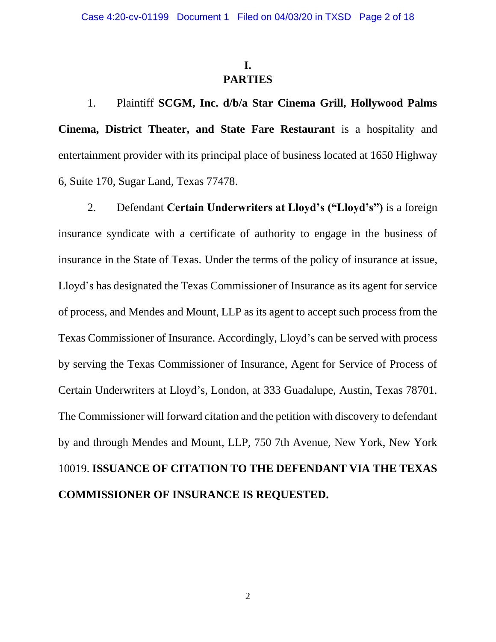# **I. PARTIES**

1. Plaintiff **SCGM, Inc. d/b/a Star Cinema Grill, Hollywood Palms Cinema, District Theater, and State Fare Restaurant** is a hospitality and entertainment provider with its principal place of business located at 1650 Highway 6, Suite 170, Sugar Land, Texas 77478.

2. Defendant **Certain Underwriters at Lloyd's ("Lloyd's")** is a foreign insurance syndicate with a certificate of authority to engage in the business of insurance in the State of Texas. Under the terms of the policy of insurance at issue, Lloyd's has designated the Texas Commissioner of Insurance as its agent for service of process, and Mendes and Mount, LLP as its agent to accept such process from the Texas Commissioner of Insurance. Accordingly, Lloyd's can be served with process by serving the Texas Commissioner of Insurance, Agent for Service of Process of Certain Underwriters at Lloyd's, London, at 333 Guadalupe, Austin, Texas 78701. The Commissioner will forward citation and the petition with discovery to defendant by and through Mendes and Mount, LLP, 750 7th Avenue, New York, New York 10019. **ISSUANCE OF CITATION TO THE DEFENDANT VIA THE TEXAS COMMISSIONER OF INSURANCE IS REQUESTED.**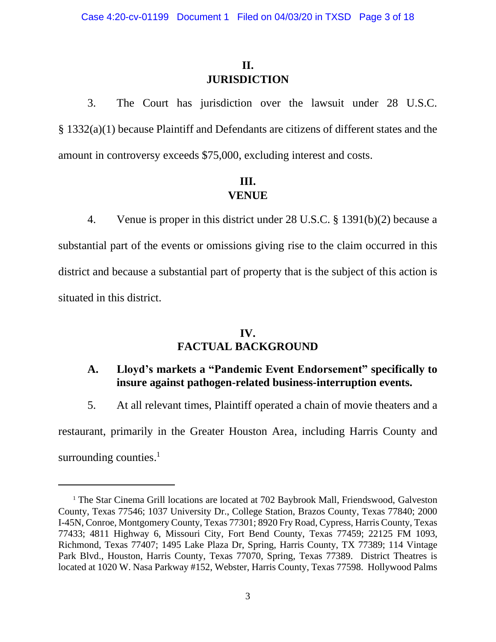# **II. JURISDICTION**

3. The Court has jurisdiction over the lawsuit under 28 U.S.C. § 1332(a)(1) because Plaintiff and Defendants are citizens of different states and the amount in controversy exceeds \$75,000, excluding interest and costs.

## **III. VENUE**

4. Venue is proper in this district under 28 U.S.C. § 1391(b)(2) because a substantial part of the events or omissions giving rise to the claim occurred in this district and because a substantial part of property that is the subject of this action is situated in this district.

## **IV. FACTUAL BACKGROUND**

## **A. Lloyd's markets a "Pandemic Event Endorsement" specifically to insure against pathogen-related business-interruption events.**

5. At all relevant times, Plaintiff operated a chain of movie theaters and a

restaurant, primarily in the Greater Houston Area, including Harris County and surrounding counties.<sup>1</sup>

<sup>&</sup>lt;sup>1</sup> The Star Cinema Grill locations are located at 702 Baybrook Mall, Friendswood, Galveston County, Texas 77546; 1037 University Dr., College Station, Brazos County, Texas 77840; 2000 I-45N, Conroe, Montgomery County, Texas 77301; 8920 Fry Road, Cypress, Harris County, Texas 77433; 4811 Highway 6, Missouri City, Fort Bend County, Texas 77459; 22125 FM 1093, Richmond, Texas 77407; 1495 Lake Plaza Dr, Spring, Harris County, TX 77389; 114 Vintage Park Blvd., Houston, Harris County, Texas 77070, Spring, Texas 77389. District Theatres is located at 1020 W. Nasa Parkway #152, Webster, Harris County, Texas 77598. Hollywood Palms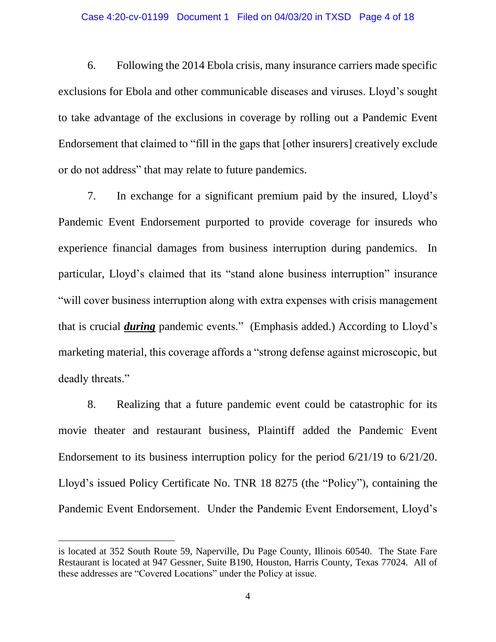#### Case 4:20-cv-01199 Document 1 Filed on 04/03/20 in TXSD Page 4 of 18

6. Following the 2014 Ebola crisis, many insurance carriers made specific exclusions for Ebola and other communicable diseases and viruses. Lloyd's sought to take advantage of the exclusions in coverage by rolling out a Pandemic Event Endorsement that claimed to "fill in the gaps that [other insurers] creatively exclude or do not address" that may relate to future pandemics.

7. In exchange for a significant premium paid by the insured, Lloyd's Pandemic Event Endorsement purported to provide coverage for insureds who experience financial damages from business interruption during pandemics. In particular, Lloyd's claimed that its "stand alone business interruption" insurance "will cover business interruption along with extra expenses with crisis management that is crucial *during* pandemic events." (Emphasis added.) According to Lloyd's marketing material, this coverage affords a "strong defense against microscopic, but deadly threats."

8. Realizing that a future pandemic event could be catastrophic for its movie theater and restaurant business, Plaintiff added the Pandemic Event Endorsement to its business interruption policy for the period 6/21/19 to 6/21/20. Lloyd's issued Policy Certificate No. TNR 18 8275 (the "Policy"), containing the Pandemic Event Endorsement. Under the Pandemic Event Endorsement, Lloyd's

is located at 352 South Route 59, Naperville, Du Page County, Illinois 60540. The State Fare Restaurant is located at 947 Gessner, Suite B190, Houston, Harris County, Texas 77024. All of these addresses are "Covered Locations" under the Policy at issue.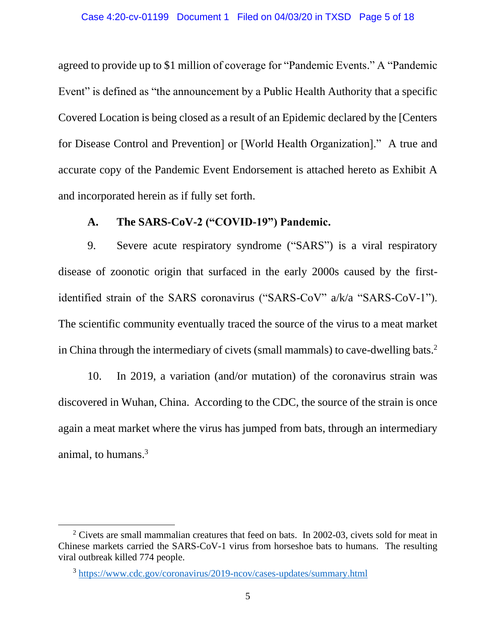agreed to provide up to \$1 million of coverage for "Pandemic Events." A "Pandemic Event" is defined as "the announcement by a Public Health Authority that a specific Covered Location is being closed as a result of an Epidemic declared by the [Centers for Disease Control and Prevention] or [World Health Organization]." A true and accurate copy of the Pandemic Event Endorsement is attached hereto as Exhibit A and incorporated herein as if fully set forth.

### **A. The SARS-CoV-2 ("COVID-19") Pandemic.**

9. Severe acute respiratory syndrome ("SARS") is a viral respiratory disease of zoonotic origin that surfaced in the early 2000s caused by the firstidentified strain of the SARS coronavirus ("SARS-CoV" a/k/a "SARS-CoV-1"). The scientific community eventually traced the source of the virus to a meat market in China through the intermediary of civets (small mammals) to cave-dwelling bats.<sup>2</sup>

10. In 2019, a variation (and/or mutation) of the coronavirus strain was discovered in Wuhan, China. According to the CDC, the source of the strain is once again a meat market where the virus has jumped from bats, through an intermediary animal, to humans. 3

 $2$  Civets are small mammalian creatures that feed on bats. In 2002-03, civets sold for meat in Chinese markets carried the SARS-CoV-1 virus from horseshoe bats to humans. The resulting viral outbreak killed 774 people.

<sup>&</sup>lt;sup>3</sup><https://www.cdc.gov/coronavirus/2019-ncov/cases-updates/summary.html>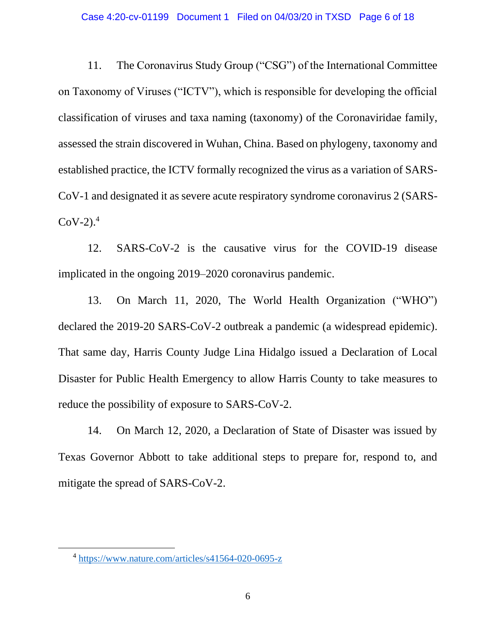11. The Coronavirus Study Group ("CSG") of the International Committee on Taxonomy of Viruses ("ICTV"), which is responsible for developing the official classification of viruses and taxa naming (taxonomy) of the Coronaviridae family, assessed the strain discovered in Wuhan, China. Based on phylogeny, taxonomy and established practice, the ICTV formally recognized the virus as a variation of SARS-CoV-1 and designated it as severe acute respiratory syndrome coronavirus 2 (SARS- $CoV-2$ ).<sup>4</sup>

12. SARS-CoV-2 is the causative virus for the COVID-19 disease implicated in the ongoing 2019–2020 coronavirus pandemic.

13. On March 11, 2020, The World Health Organization ("WHO") declared the 2019-20 SARS-CoV-2 outbreak a pandemic (a widespread epidemic). That same day, Harris County Judge Lina Hidalgo issued a Declaration of Local Disaster for Public Health Emergency to allow Harris County to take measures to reduce the possibility of exposure to SARS-CoV-2.

14. On March 12, 2020, a Declaration of State of Disaster was issued by Texas Governor Abbott to take additional steps to prepare for, respond to, and mitigate the spread of SARS-CoV-2.

<sup>&</sup>lt;sup>4</sup> <https://www.nature.com/articles/s41564-020-0695-z>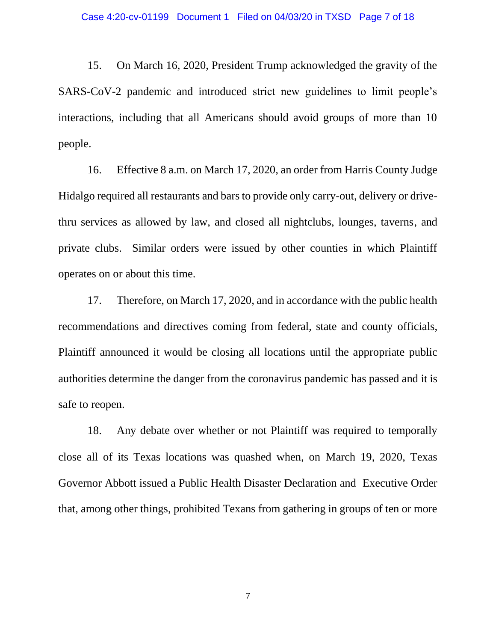15. On March 16, 2020, President Trump acknowledged the gravity of the SARS-CoV-2 pandemic and introduced strict new guidelines to limit people's interactions, including that all Americans should avoid groups of more than 10 people.

16. Effective 8 a.m. on March 17, 2020, an order from Harris County Judge Hidalgo required all restaurants and bars to provide only carry-out, delivery or drivethru services as allowed by law, and closed all nightclubs, lounges, taverns, and private clubs. Similar orders were issued by other counties in which Plaintiff operates on or about this time.

17. Therefore, on March 17, 2020, and in accordance with the public health recommendations and directives coming from federal, state and county officials, Plaintiff announced it would be closing all locations until the appropriate public authorities determine the danger from the coronavirus pandemic has passed and it is safe to reopen.

18. Any debate over whether or not Plaintiff was required to temporally close all of its Texas locations was quashed when, on March 19, 2020, Texas Governor Abbott issued a Public Health Disaster Declaration and Executive Order that, among other things, prohibited Texans from gathering in groups of ten or more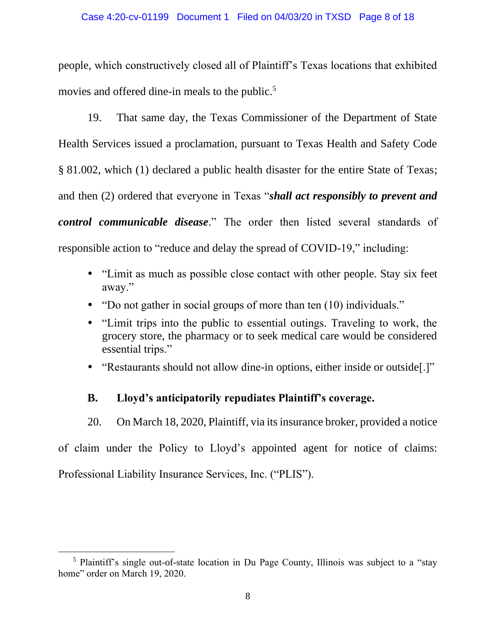people, which constructively closed all of Plaintiff's Texas locations that exhibited movies and offered dine-in meals to the public.<sup>5</sup>

19. That same day, the Texas Commissioner of the Department of State Health Services issued a proclamation, pursuant to Texas Health and Safety Code § 81.002, which (1) declared a public health disaster for the entire State of Texas; and then (2) ordered that everyone in Texas "*shall act responsibly to prevent and control communicable disease*." The order then listed several standards of responsible action to "reduce and delay the spread of COVID-19," including:

- "Limit as much as possible close contact with other people. Stay six feet away."
- "Do not gather in social groups of more than ten (10) individuals."
- "Limit trips into the public to essential outings. Traveling to work, the grocery store, the pharmacy or to seek medical care would be considered essential trips."
- "Restaurants should not allow dine-in options, either inside or outside[.]"

# **B. Lloyd's anticipatorily repudiates Plaintiff's coverage.**

20. On March 18, 2020, Plaintiff, via its insurance broker, provided a notice

of claim under the Policy to Lloyd's appointed agent for notice of claims:

Professional Liability Insurance Services, Inc. ("PLIS").

<sup>&</sup>lt;sup>5</sup> Plaintiff's single out-of-state location in Du Page County, Illinois was subject to a "stay" home" order on March 19, 2020.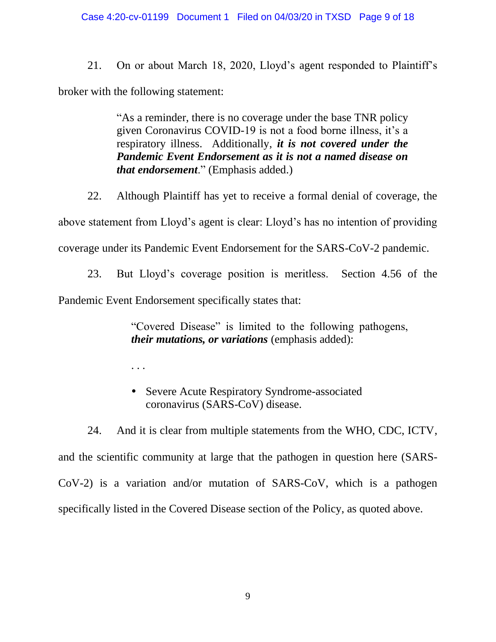#### Case 4:20-cv-01199 Document 1 Filed on 04/03/20 in TXSD Page 9 of 18

21. On or about March 18, 2020, Lloyd's agent responded to Plaintiff's broker with the following statement:

> "As a reminder, there is no coverage under the base TNR policy given Coronavirus COVID-19 is not a food borne illness, it's a respiratory illness. Additionally, *it is not covered under the Pandemic Event Endorsement as it is not a named disease on that endorsement*." (Emphasis added.)

22. Although Plaintiff has yet to receive a formal denial of coverage, the above statement from Lloyd's agent is clear: Lloyd's has no intention of providing coverage under its Pandemic Event Endorsement for the SARS-CoV-2 pandemic.

23. But Lloyd's coverage position is meritless. Section 4.56 of the Pandemic Event Endorsement specifically states that:

> "Covered Disease" is limited to the following pathogens, *their mutations, or variations* (emphasis added):

. . .

• Severe Acute Respiratory Syndrome-associated coronavirus (SARS-CoV) disease.

24. And it is clear from multiple statements from the WHO, CDC, ICTV, and the scientific community at large that the pathogen in question here (SARS-CoV-2) is a variation and/or mutation of SARS-CoV, which is a pathogen specifically listed in the Covered Disease section of the Policy, as quoted above.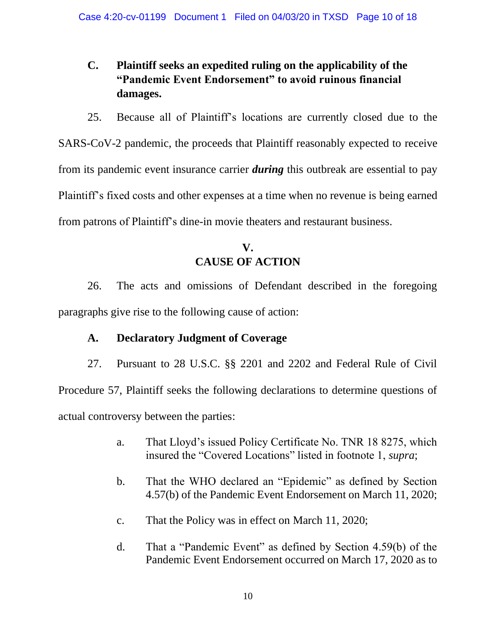# **C. Plaintiff seeks an expedited ruling on the applicability of the "Pandemic Event Endorsement" to avoid ruinous financial damages.**

25. Because all of Plaintiff's locations are currently closed due to the SARS-CoV-2 pandemic, the proceeds that Plaintiff reasonably expected to receive from its pandemic event insurance carrier *during* this outbreak are essential to pay Plaintiff's fixed costs and other expenses at a time when no revenue is being earned from patrons of Plaintiff's dine-in movie theaters and restaurant business.

# **V. CAUSE OF ACTION**

26. The acts and omissions of Defendant described in the foregoing paragraphs give rise to the following cause of action:

# **A. Declaratory Judgment of Coverage**

27. Pursuant to 28 U.S.C. §§ 2201 and 2202 and Federal Rule of Civil Procedure 57, Plaintiff seeks the following declarations to determine questions of actual controversy between the parties:

- a. That Lloyd's issued Policy Certificate No. TNR 18 8275, which insured the "Covered Locations" listed in footnote 1, *supra*;
- b. That the WHO declared an "Epidemic" as defined by Section 4.57(b) of the Pandemic Event Endorsement on March 11, 2020;
- c. That the Policy was in effect on March 11, 2020;
- d. That a "Pandemic Event" as defined by Section 4.59(b) of the Pandemic Event Endorsement occurred on March 17, 2020 as to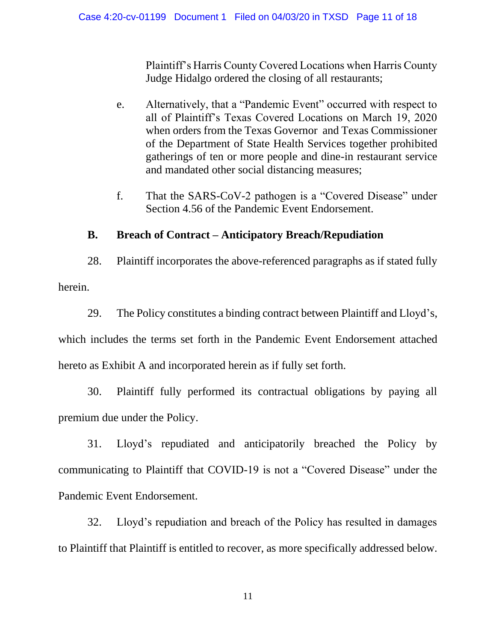Plaintiff's Harris County Covered Locations when Harris County Judge Hidalgo ordered the closing of all restaurants;

- e. Alternatively, that a "Pandemic Event" occurred with respect to all of Plaintiff's Texas Covered Locations on March 19, 2020 when orders from the Texas Governor and Texas Commissioner of the Department of State Health Services together prohibited gatherings of ten or more people and dine-in restaurant service and mandated other social distancing measures;
- f. That the SARS-CoV-2 pathogen is a "Covered Disease" under Section 4.56 of the Pandemic Event Endorsement.

# **B. Breach of Contract – Anticipatory Breach/Repudiation**

28. Plaintiff incorporates the above-referenced paragraphs as if stated fully herein.

29. The Policy constitutes a binding contract between Plaintiff and Lloyd's,

which includes the terms set forth in the Pandemic Event Endorsement attached hereto as Exhibit A and incorporated herein as if fully set forth.

30. Plaintiff fully performed its contractual obligations by paying all premium due under the Policy.

31. Lloyd's repudiated and anticipatorily breached the Policy by communicating to Plaintiff that COVID-19 is not a "Covered Disease" under the Pandemic Event Endorsement.

32. Lloyd's repudiation and breach of the Policy has resulted in damages to Plaintiff that Plaintiff is entitled to recover, as more specifically addressed below.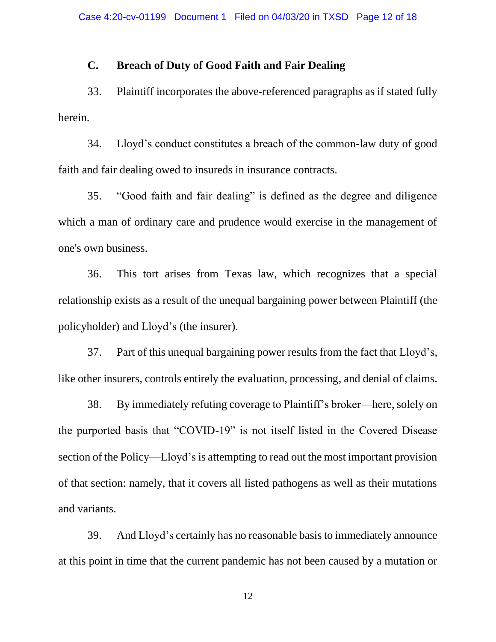## **C. Breach of Duty of Good Faith and Fair Dealing**

33. Plaintiff incorporates the above-referenced paragraphs as if stated fully herein.

34. Lloyd's conduct constitutes a breach of the common-law duty of good faith and fair dealing owed to insureds in insurance contracts.

35. "Good faith and fair dealing" is defined as the degree and diligence which a man of ordinary care and prudence would exercise in the management of one's own business.

36. This tort arises from Texas law, which recognizes that a special relationship exists as a result of the unequal bargaining power between Plaintiff (the policyholder) and Lloyd's (the insurer).

37. Part of this unequal bargaining power results from the fact that Lloyd's, like other insurers, controls entirely the evaluation, processing, and denial of claims.

38. By immediately refuting coverage to Plaintiff's broker—here, solely on the purported basis that "COVID-19" is not itself listed in the Covered Disease section of the Policy—Lloyd's is attempting to read out the most important provision of that section: namely, that it covers all listed pathogens as well as their mutations and variants.

39. And Lloyd's certainly has no reasonable basis to immediately announce at this point in time that the current pandemic has not been caused by a mutation or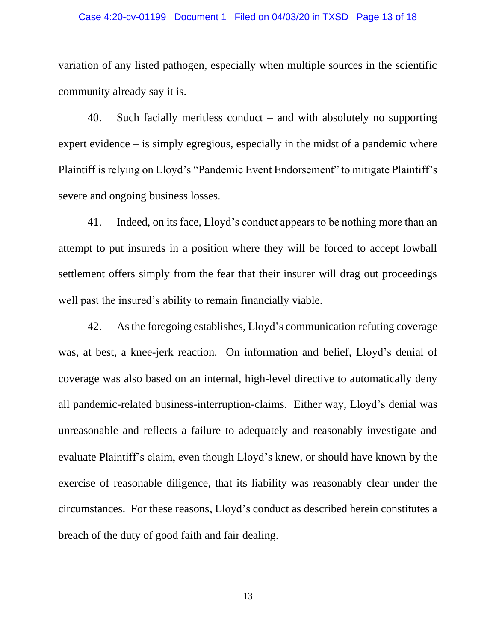#### Case 4:20-cv-01199 Document 1 Filed on 04/03/20 in TXSD Page 13 of 18

variation of any listed pathogen, especially when multiple sources in the scientific community already say it is.

40. Such facially meritless conduct – and with absolutely no supporting expert evidence – is simply egregious, especially in the midst of a pandemic where Plaintiff is relying on Lloyd's "Pandemic Event Endorsement" to mitigate Plaintiff's severe and ongoing business losses.

41. Indeed, on its face, Lloyd's conduct appears to be nothing more than an attempt to put insureds in a position where they will be forced to accept lowball settlement offers simply from the fear that their insurer will drag out proceedings well past the insured's ability to remain financially viable.

42. As the foregoing establishes, Lloyd's communication refuting coverage was, at best, a knee-jerk reaction. On information and belief, Lloyd's denial of coverage was also based on an internal, high-level directive to automatically deny all pandemic-related business-interruption-claims. Either way, Lloyd's denial was unreasonable and reflects a failure to adequately and reasonably investigate and evaluate Plaintiff's claim, even though Lloyd's knew, or should have known by the exercise of reasonable diligence, that its liability was reasonably clear under the circumstances. For these reasons, Lloyd's conduct as described herein constitutes a breach of the duty of good faith and fair dealing.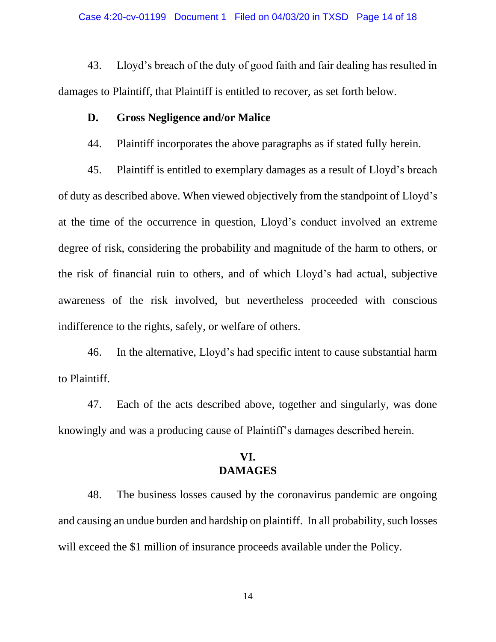43. Lloyd's breach of the duty of good faith and fair dealing has resulted in damages to Plaintiff, that Plaintiff is entitled to recover, as set forth below.

### **D. Gross Negligence and/or Malice**

44. Plaintiff incorporates the above paragraphs as if stated fully herein.

45. Plaintiff is entitled to exemplary damages as a result of Lloyd's breach of duty as described above. When viewed objectively from the standpoint of Lloyd's at the time of the occurrence in question, Lloyd's conduct involved an extreme degree of risk, considering the probability and magnitude of the harm to others, or the risk of financial ruin to others, and of which Lloyd's had actual, subjective awareness of the risk involved, but nevertheless proceeded with conscious indifference to the rights, safely, or welfare of others.

46. In the alternative, Lloyd's had specific intent to cause substantial harm to Plaintiff.

47. Each of the acts described above, together and singularly, was done knowingly and was a producing cause of Plaintiff's damages described herein.

### **VI. DAMAGES**

48. The business losses caused by the coronavirus pandemic are ongoing and causing an undue burden and hardship on plaintiff. In all probability, such losses will exceed the \$1 million of insurance proceeds available under the Policy.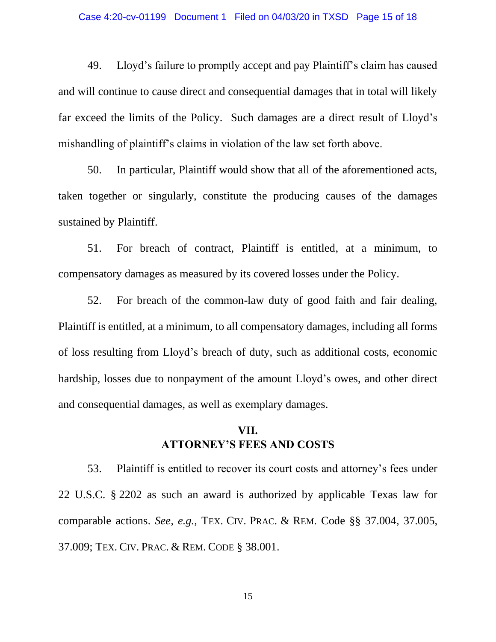#### Case 4:20-cv-01199 Document 1 Filed on 04/03/20 in TXSD Page 15 of 18

49. Lloyd's failure to promptly accept and pay Plaintiff's claim has caused and will continue to cause direct and consequential damages that in total will likely far exceed the limits of the Policy. Such damages are a direct result of Lloyd's mishandling of plaintiff's claims in violation of the law set forth above.

50. In particular, Plaintiff would show that all of the aforementioned acts, taken together or singularly, constitute the producing causes of the damages sustained by Plaintiff.

51. For breach of contract, Plaintiff is entitled, at a minimum, to compensatory damages as measured by its covered losses under the Policy.

52. For breach of the common-law duty of good faith and fair dealing, Plaintiff is entitled, at a minimum, to all compensatory damages, including all forms of loss resulting from Lloyd's breach of duty, such as additional costs, economic hardship, losses due to nonpayment of the amount Lloyd's owes, and other direct and consequential damages, as well as exemplary damages.

## **VII. ATTORNEY'S FEES AND COSTS**

53. Plaintiff is entitled to recover its court costs and attorney's fees under 22 U.S.C. § 2202 as such an award is authorized by applicable Texas law for comparable actions. *See, e.g.*, TEX. CIV. PRAC. & REM. Code §§ 37.004, 37.005, 37.009; TEX. CIV. PRAC. & REM. CODE § 38.001.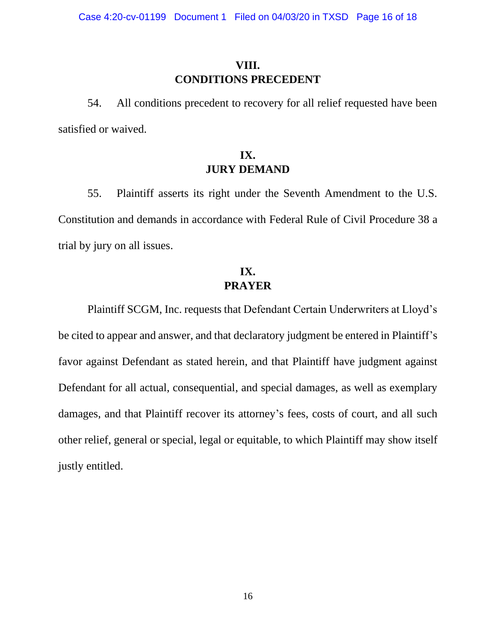# **VIII. CONDITIONS PRECEDENT**

54. All conditions precedent to recovery for all relief requested have been satisfied or waived.

## **IX. JURY DEMAND**

55. Plaintiff asserts its right under the Seventh Amendment to the U.S. Constitution and demands in accordance with Federal Rule of Civil Procedure 38 a trial by jury on all issues.

## **IX. PRAYER**

Plaintiff SCGM, Inc. requests that Defendant Certain Underwriters at Lloyd's be cited to appear and answer, and that declaratory judgment be entered in Plaintiff's favor against Defendant as stated herein, and that Plaintiff have judgment against Defendant for all actual, consequential, and special damages, as well as exemplary damages, and that Plaintiff recover its attorney's fees, costs of court, and all such other relief, general or special, legal or equitable, to which Plaintiff may show itself justly entitled.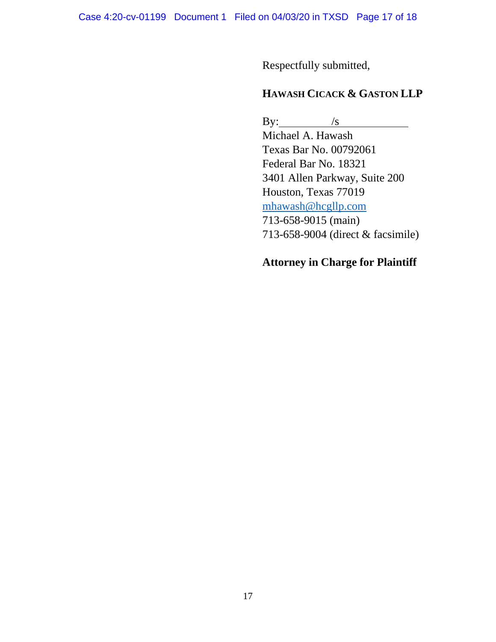Respectfully submitted,

## **HAWASH CICACK & GASTON LLP**

By:  $/s$ 

Michael A. Hawash Texas Bar No. 00792061 Federal Bar No. 18321 3401 Allen Parkway, Suite 200 Houston, Texas 77019 [mhawash@hcgllp.com](mailto:mhawash@hcgllp.com) 713-658-9015 (main) 713-658-9004 (direct & facsimile)

## **Attorney in Charge for Plaintiff**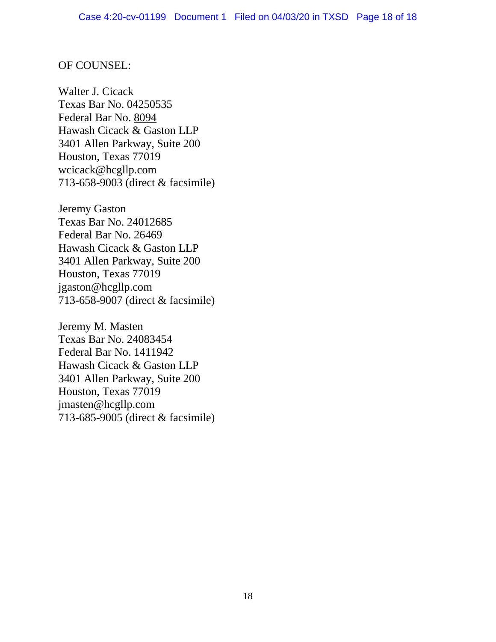### OF COUNSEL:

Walter J. Cicack Texas Bar No. 04250535 Federal Bar No. 8094 Hawash Cicack & Gaston LLP 3401 Allen Parkway, Suite 200 Houston, Texas 77019 wcicack@hcgllp.com 713-658-9003 (direct & facsimile)

Jeremy Gaston Texas Bar No. 24012685 Federal Bar No. 26469 Hawash Cicack & Gaston LLP 3401 Allen Parkway, Suite 200 Houston, Texas 77019 jgaston@hcgllp.com 713-658-9007 (direct & facsimile)

Jeremy M. Masten Texas Bar No. 24083454 Federal Bar No. 1411942 Hawash Cicack & Gaston LLP 3401 Allen Parkway, Suite 200 Houston, Texas 77019 jmasten@hcgllp.com 713-685-9005 (direct & facsimile)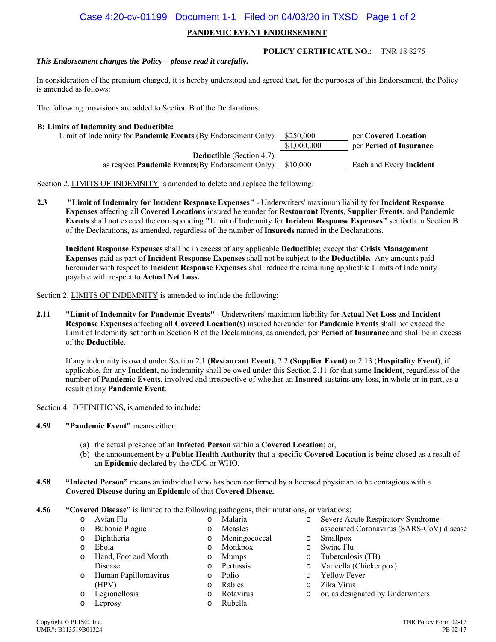#### Case 4:20-cv-01199 Document 1-1 Filed on 04/03/20 in TXSD Page 1 of 2

#### **PANDEMIC EVENT ENDORSEMENT**

#### *This Endorsement changes the Policy – please read it carefully.*

**POLICY CERTIFICATE NO.:** TNR 18 8275

In consideration of the premium charged, it is hereby understood and agreed that, for the purposes of this Endorsement, the Policy is amended as follows:

The following provisions are added to Section B of the Declarations:

#### **B: Limits of Indemnity and Deductible:**

| Limit of Indemnity for Pandemic Events (By Endorsement Only): \$250,000 | per Covered Location    |
|-------------------------------------------------------------------------|-------------------------|
| \$1,000,000                                                             | per Period of Insurance |
|                                                                         |                         |
| as respect <b>Pandemic Events</b> (By Endorsement Only): $$10,000$      | Each and Every Incident |
|                                                                         |                         |

Section 2. LIMITS OF INDEMNITY is amended to delete and replace the following:

**2.3 "Limit of Indemnity for Incident Response Expenses"** - Underwriters' maximum liability for **Incident Response Expenses** affecting all **Covered Locations** insured hereunder for **Restaurant Events**, **Supplier Events**, and **Pandemic Events** shall not exceed the corresponding **"**Limit of Indemnity for **Incident Response Expenses"** set forth in Section B of the Declarations, as amended, regardless of the number of **Insureds** named in the Declarations.

**Incident Response Expenses** shall be in excess of any applicable **Deductible;** except that **Crisis Management Expenses** paid as part of **Incident Response Expenses** shall not be subject to the **Deductible.** Any amounts paid hereunder with respect to **Incident Response Expenses** shall reduce the remaining applicable Limits of Indemnity payable with respect to **Actual Net Loss.**

Section 2. LIMITS OF INDEMNITY is amended to include the following:

**2.11 "Limit of Indemnity for Pandemic Events"** - Underwriters' maximum liability for **Actual Net Loss** and **Incident Response Expenses** affecting all **Covered Location(s)** insured hereunder for **Pandemic Events** shall not exceed the Limit of Indemnity set forth in Section B of the Declarations, as amended, per **Period of Insurance** and shall be in excess of the **Deductible**.

If any indemnity is owed under Section 2.1 **(Restaurant Event),** 2.2 **(Supplier Event)** or 2.13 (**Hospitality Event**), if applicable, for any **Incident**, no indemnity shall be owed under this Section 2.11 for that same **Incident**, regardless of the number of **Pandemic Events**, involved and irrespective of whether an **Insured** sustains any loss, in whole or in part, as a result of any **Pandemic Event**.

Section 4.DEFINITIONS**,** is amended to include**:** 

- **4.59 "Pandemic Event"** means either:
	- (a) the actual presence of an **Infected Person** within a **Covered Location**; or,
	- (b) the announcement by a **Public Health Authority** that a specific **Covered Location** is being closed as a result of an **Epidemic** declared by the CDC or WHO.
- **4.58 "Infected Person"** means an individual who has been confirmed by a licensed physician to be contagious with a **Covered Disease** during an **Epidemic** of that **Covered Disease.**
- **4.56 "Covered Disease"** is limited to the following pathogens, their mutations, or variations:
	- o Avian Flu o Bubonic Plague
- o Malaria o Measles

- o Diphtheria
- o Ebola
- o Hand, Foot and Mouth Disease
- o Human Papillomavirus (HPV)
- o Legionellosis
- o Leprosy
	-
- o Meningococcal
- o Monkpox
- o Mumps
- o Pertussis
- o Polio
- o Rabies
- o Rotavirus
- o Rubella
- o Severe Acute Respiratory Syndrome-
- associated Coronavirus (SARS-CoV) disease o Smallpox
- o Swine Flu
- o Tuberculosis (TB)
- o Varicella (Chickenpox)
- o Yellow Fever
- o Zika Virus
- o or, as designated by Underwriters